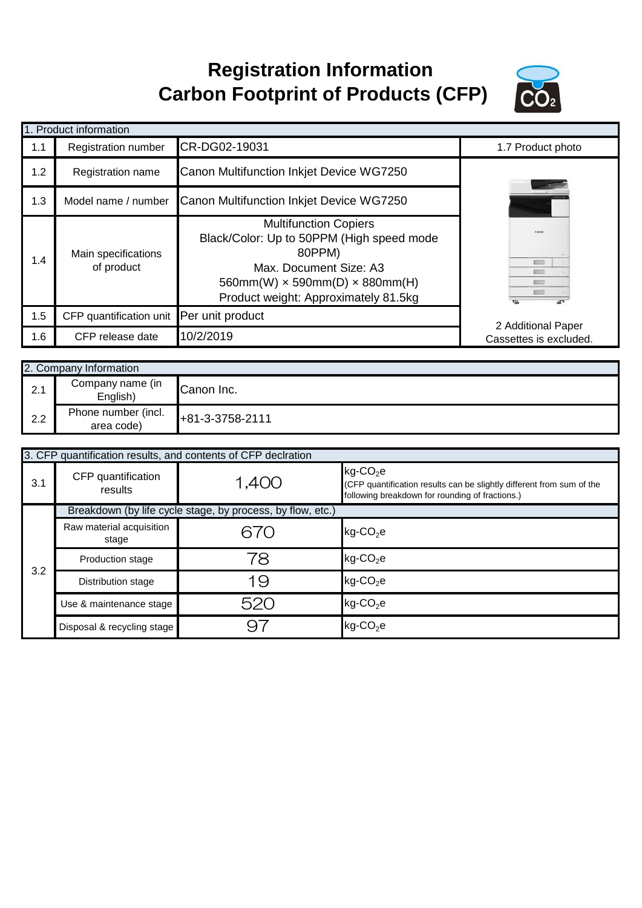## **Registration Information Carbon Footprint of Products (CFP)**



|     | 1. Product information                   |                                                                                                                                                                                                     |                        |
|-----|------------------------------------------|-----------------------------------------------------------------------------------------------------------------------------------------------------------------------------------------------------|------------------------|
| 1.1 | <b>Registration number</b>               | CR-DG02-19031                                                                                                                                                                                       | 1.7 Product photo      |
| 1.2 | Registration name                        | Canon Multifunction Inkjet Device WG7250                                                                                                                                                            |                        |
| 1.3 | Model name / number                      | Canon Multifunction Inkiet Device WG7250                                                                                                                                                            |                        |
| 1.4 | Main specifications<br>of product        | <b>Multifunction Copiers</b><br>Black/Color: Up to 50PPM (High speed mode<br>80PPM)<br>Max. Document Size: A3<br>$560mm(W) \times 590mm(D) \times 880mm(H)$<br>Product weight: Approximately 81.5kg | Color                  |
| 1.5 | CFP quantification unit Per unit product |                                                                                                                                                                                                     | 2 Additional Paper     |
| 1.6 | CFP release date                         | 10/2/2019                                                                                                                                                                                           | Cassettes is excluded. |

|     | 2. Company Information            |                   |
|-----|-----------------------------------|-------------------|
| 2.1 | Company name (in<br>English)      | Canon Inc.        |
| 2.2 | Phone number (incl.<br>area code) | $+81-3-3758-2111$ |

|     |                                   | 3. CFP quantification results, and contents of CFP declration |                                                                                                                                                     |
|-----|-----------------------------------|---------------------------------------------------------------|-----------------------------------------------------------------------------------------------------------------------------------------------------|
| 3.1 | CFP quantification<br>results     | 1,400                                                         | $kg$ -CO <sub>2</sub> e<br>(CFP quantification results can be slightly different from sum of the<br>following breakdown for rounding of fractions.) |
|     |                                   | Breakdown (by life cycle stage, by process, by flow, etc.)    |                                                                                                                                                     |
|     | Raw material acquisition<br>stage | 670                                                           | $kg$ -CO <sub>2</sub> e                                                                                                                             |
| 3.2 | <b>Production stage</b>           | 78                                                            | $kg$ -CO <sub>2</sub> e                                                                                                                             |
|     | Distribution stage                | 19                                                            | $kg$ -CO <sub>2</sub> e                                                                                                                             |
|     | Use & maintenance stage           | 520                                                           | $kg$ -CO <sub>2</sub> e                                                                                                                             |
|     | Disposal & recycling stage        | 9.                                                            | $kg$ -CO <sub>2</sub> e                                                                                                                             |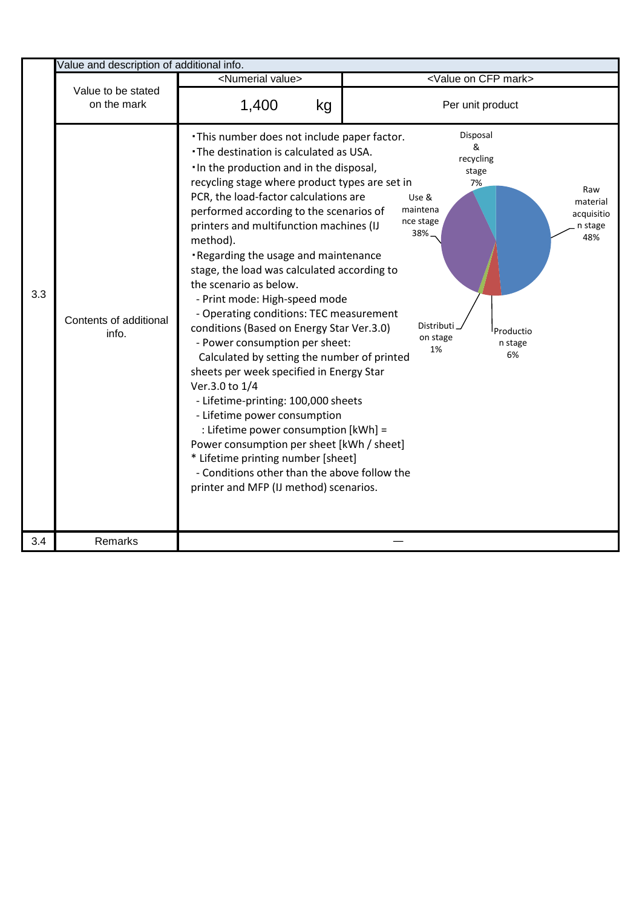|     | Value and description of additional info. |                                                                                                                                                                                                                                                                                                                                                                                                                                                                                                                                                                                                                                                                                                                                                                                                                                                                                                                                                                                                                      |                                                                                                                                                                                                                  |
|-----|-------------------------------------------|----------------------------------------------------------------------------------------------------------------------------------------------------------------------------------------------------------------------------------------------------------------------------------------------------------------------------------------------------------------------------------------------------------------------------------------------------------------------------------------------------------------------------------------------------------------------------------------------------------------------------------------------------------------------------------------------------------------------------------------------------------------------------------------------------------------------------------------------------------------------------------------------------------------------------------------------------------------------------------------------------------------------|------------------------------------------------------------------------------------------------------------------------------------------------------------------------------------------------------------------|
|     |                                           | <numerial value=""></numerial>                                                                                                                                                                                                                                                                                                                                                                                                                                                                                                                                                                                                                                                                                                                                                                                                                                                                                                                                                                                       | <value cfp="" mark="" on=""></value>                                                                                                                                                                             |
|     | Value to be stated<br>on the mark         | 1,400<br>kg                                                                                                                                                                                                                                                                                                                                                                                                                                                                                                                                                                                                                                                                                                                                                                                                                                                                                                                                                                                                          | Per unit product                                                                                                                                                                                                 |
| 3.3 | Contents of additional<br>info.           | . This number does not include paper factor.<br>. The destination is calculated as USA.<br>. In the production and in the disposal,<br>recycling stage where product types are set in<br>PCR, the load-factor calculations are<br>performed according to the scenarios of<br>printers and multifunction machines (IJ<br>method).<br>Regarding the usage and maintenance<br>stage, the load was calculated according to<br>the scenario as below.<br>- Print mode: High-speed mode<br>- Operating conditions: TEC measurement<br>conditions (Based on Energy Star Ver.3.0)<br>- Power consumption per sheet:<br>Calculated by setting the number of printed<br>sheets per week specified in Energy Star<br>Ver.3.0 to 1/4<br>- Lifetime-printing: 100,000 sheets<br>- Lifetime power consumption<br>: Lifetime power consumption [kWh] =<br>Power consumption per sheet [kWh / sheet]<br>* Lifetime printing number [sheet]<br>- Conditions other than the above follow the<br>printer and MFP (IJ method) scenarios. | Disposal<br>&<br>recycling<br>stage<br>7%<br>Raw<br>Use &<br>material<br>maintena<br>acquisitio<br>nce stage<br>n stage<br>38%<br>48%<br>Distributi<br><sup>I</sup> Productio<br>on stage<br>n stage<br>1%<br>6% |
| 3.4 | Remarks                                   |                                                                                                                                                                                                                                                                                                                                                                                                                                                                                                                                                                                                                                                                                                                                                                                                                                                                                                                                                                                                                      |                                                                                                                                                                                                                  |

 $\mathsf{l}$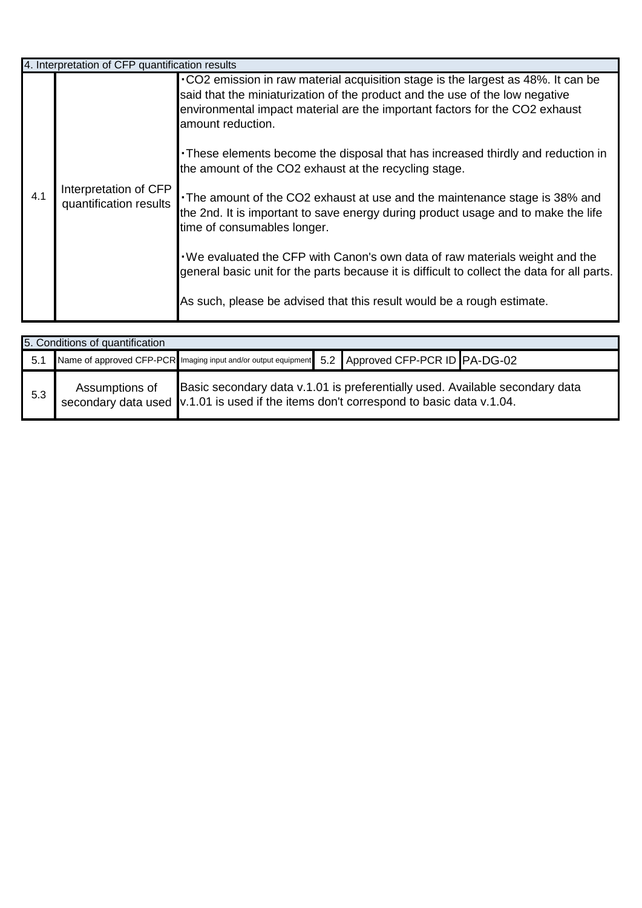|     | 4. Interpretation of CFP quantification results |                                                                                                                                                                                                                                                                      |
|-----|-------------------------------------------------|----------------------------------------------------------------------------------------------------------------------------------------------------------------------------------------------------------------------------------------------------------------------|
|     |                                                 | .CO2 emission in raw material acquisition stage is the largest as 48%. It can be<br>said that the miniaturization of the product and the use of the low negative<br>environmental impact material are the important factors for the CO2 exhaust<br>amount reduction. |
|     |                                                 | • These elements become the disposal that has increased thirdly and reduction in<br>the amount of the CO2 exhaust at the recycling stage.                                                                                                                            |
| 4.1 | Interpretation of CFP<br>quantification results | The amount of the CO2 exhaust at use and the maintenance stage is 38% and<br>the 2nd. It is important to save energy during product usage and to make the life<br>time of consumables longer.                                                                        |
|     |                                                 | . We evaluated the CFP with Canon's own data of raw materials weight and the<br>general basic unit for the parts because it is difficult to collect the data for all parts.                                                                                          |
|     |                                                 | As such, please be advised that this result would be a rough estimate.                                                                                                                                                                                               |

|     | 5. Conditions of quantification |  |                                                                                                                                                                        |
|-----|---------------------------------|--|------------------------------------------------------------------------------------------------------------------------------------------------------------------------|
| 5.1 |                                 |  | Name of approved CFP-PCR Imaging input and/or output equipment 5.2 Approved CFP-PCR ID PA-DG-02                                                                        |
| 5.3 | Assumptions of                  |  | Basic secondary data v.1.01 is preferentially used. Available secondary data<br>secondary data used v.1.01 is used if the items don't correspond to basic data v.1.04. |